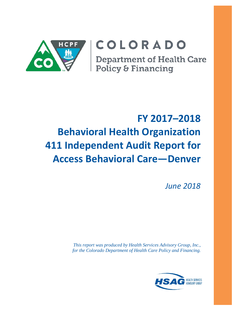

# COLORADO

**Department of Health Care** Policy & Financing

# **FY 2017–2018 Behavioral Health Organization 411 Independent Audit Report for Access Behavioral Care—Denver**

*June 2018*

*This report was produced by Health Services Advisory Group, Inc., for the Colorado Department of Health Care Policy and Financing.*

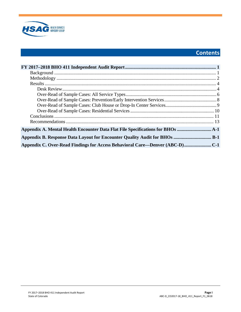

# **Contents**

| Appendix A. Mental Health Encounter Data Flat File Specifications for BHOs   |  |
|------------------------------------------------------------------------------|--|
| Appendix B. Response Data Layout for Encounter Quality Audit for BHOs  B-1   |  |
| Appendix C. Over-Read Findings for Access Behavioral Care—Denver (ABC-D) C-1 |  |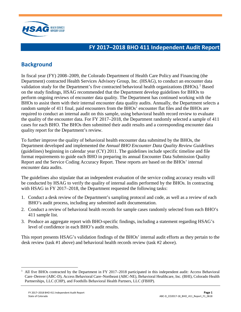

## <span id="page-2-0"></span>**FY 2017–2018 BHO 411 Independent Audit Report**

## <span id="page-2-1"></span>**Background**

In fiscal year (FY) 2008–2009, the Colorado Department of Health Care Policy and Financing (the Department) contracted Health Services Advisory Group, Inc. (HSAG), to conduct an encounter data validation study for the Department's five contracted behavioral health organizations  $(BHOs)$ .<sup>[1](#page-2-2)</sup> Based on the study findings, HSAG recommended that the Department develop guidelines for BHOs to perform ongoing reviews of encounter data quality. The Department has continued working with the BHOs to assist them with their internal encounter data quality audits. Annually, the Department selects a random sample of 411 final, paid encounters from the BHOs' encounter flat files and the BHOs are required to conduct an internal audit on this sample, using behavioral health record review to evaluate the quality of the encounter data. For FY 2017–2018, the Department randomly selected a sample of 411 cases for each BHO. The BHOs then submitted their audit results and a corresponding encounter data quality report for the Department's review.

To further improve the quality of behavioral health encounter data submitted by the BHOs, the Department developed and implemented the *Annual BHO Encounter Data Quality Review Guidelines* (guidelines) beginning in calendar year  $(CY)$  2011. The guidelines include specific timeline and file format requirements to guide each BHO in preparing its annual Encounter Data Submission Quality Report and the Service Coding Accuracy Report. These reports are based on the BHOs' internal encounter data audits.

The guidelines also stipulate that an independent evaluation of the service coding accuracy results will be conducted by HSAG to verify the quality of internal audits performed by the BHOs. In contracting with HSAG in FY 2017–2018, the Department requested the following tasks:

- 1. Conduct a desk review of the Department's sampling protocol and code, as well as a review of each BHO's audit process, including any submitted audit documentation.
- 2. Conduct a review of behavioral health records for sample cases randomly selected from each BHO's 411 sample list.
- 3. Produce an aggregate report with BHO-specific findings, including a statement regarding HSAG's level of confidence in each BHO's audit results.

This report presents HSAG's validation findings of the BHOs' internal audit efforts as they pertain to the desk review (task #1 above) and behavioral health records review (task #2 above).

<span id="page-2-2"></span> $1$  All five BHOs contracted by the Department in FY 2017–2018 participated in this independent audit: Access Behavioral Care–Denver (ABC-D), Access Behavioral Care–Northeast (ABC-NE), Behavioral Healthcare, Inc. (BHI), Colorado Health Partnerships, LLC (CHP), and Foothills Behavioral Health Partners, LLC (FBHP).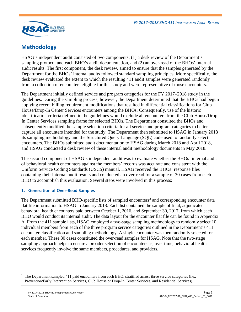

## <span id="page-3-0"></span>**Methodology**

HSAG's independent audit consisted of two components: (1) a desk review of the Department's sampling protocol and each BHO's audit documentation, and (2) an over-read of the BHOs' internal audit results. The first component, the desk review, aimed to ensure that the samples generated by the Department for the BHOs' internal audits followed standard sampling principles. More specifically, the desk review evaluated the extent to which the resulting 411 audit samples were generated randomly from a collection of encounters eligible for this study and were representative of those encounters.

The Department initially defined service and program categories for the FY 2017–2018 study in the guidelines. During the sampling process, however, the Department determined that the BHOs had begun applying recent billing requirement modifications that resulted in differential classifications for Club House/Drop-In Center Services encounters among the BHOs. Consequently, use of the historic identification criteria defined in the guidelines would exclude all encounters from the Club House/Drop-In Center Services sampling frame for selected BHOs. The Department consulted the BHOs and subsequently modified the sample selection criteria for all service and program categories to better capture all encounters intended for the study. The Department then submitted to HSAG in January 2018 its sampling methodology and the Structured Query Language (SQL) code used to randomly select encounters. The BHOs submitted audit documentation to HSAG during March 2018 and April 2018, and HSAG conducted a desk review of these internal audit methodology documents in May 2018.

The second component of HSAG's independent audit was to evaluate whether the BHOs' internal audit of behavioral health encounters against the members' records was accurate and consistent with the Uniform Service Coding Standards (USCS) manual. HSAG received the BHOs' response files containing their internal audit results and conducted an over-read for a sample of 30 cases from each BHO to accomplish this evaluation. Several steps were involved in this process:

#### **1. Generation of Over-Read Samples**

The Department submitted BHO-specific lists of sampled encounters<sup>[2](#page-3-1)</sup> and corresponding encounter data flat file information to HSAG in January 2018. Each list contained the sample of final, adjudicated behavioral health encounters paid between October 1, 2016, and September 30, 2017, from which each BHO would conduct its internal audit. The data layout for the encounter flat file can be found in Appendix A. From the 411 sample lists, HSAG employed a two-stage sampling methodology to randomly select 10 individual members from each of the three program service categories outlined in the Department's 411 encounter classification and sampling methodology. A single encounter was then randomly selected for each member. These 30 cases constituted the over-read samples for HSAG. Note that the two-stage sampling approach helps to ensure a broader selection of encounters as, over time, behavioral health services frequently involve the same members, procedures, and providers.

<span id="page-3-1"></span> $\overline{a}$ 2 The Department sampled 411 paid encounters from each BHO, stratified across three service categories (i.e., Prevention/Early Intervention Services, Club House or Drop-In Center Services, and Residential Services).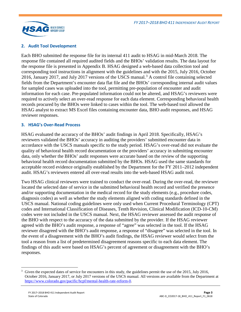

#### **2. Audit Tool Development**

Each BHO submitted the response file for its internal 411 audit to HSAG in mid-March 2018. The response file contained all required audited fields and the BHOs' validation results. The data layout for the response file is presented in Appendix B. HSAG designed a web-based data collection tool and corresponding tool instructions in alignment with the guidelines and with the 2015, July 2016, October 2016, January 2017, and July 2017 versions of the USCS manual.<sup>[3](#page-4-0)</sup> A control file containing selected fields from the Department's encounter data flat file and the BHOs' corresponding internal audit values for sampled cases was uploaded into the tool, permitting pre-population of encounter and audit information for each case. Pre-populated information could not be altered, and HSAG's reviewers were required to actively select an over-read response for each data element. Corresponding behavioral health records procured by the BHOs were linked to cases within the tool. The web-based tool allowed the HSAG analyst to extract MS Excel files containing encounter data, BHO audit responses, and HSAG reviewer responses.

#### **3. HSAG's Over-Read Process**

HSAG evaluated the accuracy of the BHOs' audit findings in April 2018. Specifically, HSAG's reviewers validated the BHOs' accuracy in auditing the providers' submitted encounter data in accordance with the USCS manuals specific to the study period. HSAG's over-read did not evaluate the quality of behavioral health record documentation or the providers' accuracy in submitting encounter data, only whether the BHOs' audit responses were accurate based on the review of the supporting behavioral health record documentation submitted by the BHOs. HSAG used the same standards for acceptable record evidence originally established by the Department for the FY 2011–2012 independent audit. HSAG's reviewers entered all over-read results into the web-based HSAG audit tool.

Two HSAG clinical reviewers were trained to conduct the over-read. During the over-read, the reviewer located the selected date of service in the submitted behavioral health record and verified the presence and/or supporting documentation in the medical record for the study elements (e.g., procedure codes, diagnosis codes) as well as whether the study elements aligned with coding standards defined in the USCS manual. National coding guidelines were only used when Current Procedural Terminology (CPT) codes and International Classification of Diseases, Tenth Revision, Clinical Modification (ICD-10-CM) codes were not included in the USCS manual. Next, the HSAG reviewer assessed the audit response of the BHO with respect to the accuracy of the data submitted by the provider. If the HSAG reviewer agreed with the BHO's audit response, a response of "agree" was selected in the tool. If the HSAG reviewer disagreed with the BHO's audit response, a response of "disagree" was selected in the tool. In the event of a disagreement with the BHO's audit findings, the HSAG reviewer would select from the tool a reason from a list of predetermined disagreement reasons specific to each data element. The findings of this audit were based on HSAG's percent of agreement or disagreement with the BHO's responses.

<span id="page-4-0"></span><sup>&</sup>lt;sup>3</sup> Given the expected dates of service for encounters in this study, the guidelines permit the use of the 2015, July 2016, October 2016, January 2017, or July 2017 versions of the USCS manual. All versions are available from the Department at [https://www.colorado.gov/pacific/hcpf/mental-health-rate-reform-0.](https://www.colorado.gov/pacific/hcpf/mental-health-rate-reform-0)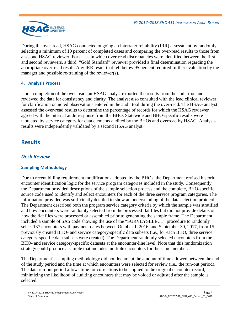

During the over-read, HSAG conducted ongoing an interrater reliability (IRR) assessment by randomly selecting a minimum of 10 percent of completed cases and comparing the over-read results to those from a second HSAG reviewer. For cases in which over-read discrepancies were identified between the first and second reviewers, a third, "Gold Standard" reviewer provided a final determination regarding the appropriate over-read result. Any IRR result that fell below 95 percent required further evaluation by the manager and possible re-training of the reviewer(s).

## **4. Analysis Process**

Upon completion of the over-read, an HSAG analyst exported the results from the audit tool and reviewed the data for consistency and clarity. The analyst also consulted with the lead clinical reviewer for clarification on noted observations entered in the audit tool during the over-read. The HSAG analyst assessed the over-read results to determine the percentage of records for which the HSAG reviewer agreed with the internal audit response from the BHO. Statewide and BHO-specific results were tabulated by service category for data elements audited by the BHOs and overread by HSAG. Analysis results were independently validated by a second HSAG analyst.

## <span id="page-5-0"></span>**Results**

## <span id="page-5-1"></span>*Desk Review*

## **Sampling Methodology**

Due to recent billing requirement modifications adopted by the BHOs, the Department revised historic encounter identification logic for the service program categories included in the study. Consequently, the Department provided descriptions of the sample selection process and the complete, BHO-specific source code used to identify and select encounters for each of the three service program categories. The information provided was sufficiently detailed to show an understanding of the data selection protocol. The Department described both the program service category criteria by which the sample was stratified and how encounters were randomly selected from the processed flat files but did not provide details on how the flat files were processed or assembled prior to generating the sample frame. The Department included a sample of SAS code showing the use of the "SURVEYSELECT" procedure to randomly select 137 encounters with payment dates between October 1, 2016, and September 30, 2017, from 15 previously created BHO- and service category-specific data subsets (i.e., for each BHO, three service category-specific data subsets were created). The Department randomly selected encounters from the BHO- and service category-specific datasets at the encounter-line level. Note that this randomization strategy could produce a sample that includes multiple encounters for the same member.

The Department's sampling methodology did not document the amount of time allowed between the end of the study period and the time at which encounters were selected for review (i.e., the run-out period). The data run-out period allows time for corrections to be applied to the original encounter record, minimizing the likelihood of auditing encounters that may be voided or adjusted after the sample is selected.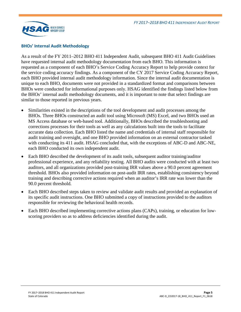

#### **BHOs' Internal Audit Methodology**

As a result of the FY 2011–2012 BHO 411 Independent Audit, subsequent BHO 411 Audit Guidelines have requested internal audit methodology documentation from each BHO. This information is requested as a component of each BHO's Service Coding Accuracy Report to help provide context for the service coding accuracy findings. As a component of the CY 2017 Service Coding Accuracy Report, each BHO provided internal audit methodology information. Since the internal audit documentation is unique to each BHO, documents were not provided in a standardized format and comparisons between BHOs were conducted for informational purposes only. HSAG identified the findings listed below from the BHOs' internal audit methodology documents, and it is important to note that select findings are similar to those reported in previous years.

- Similarities existed in the descriptions of the tool development and audit processes among the BHOs. Three BHOs constructed an audit tool using Microsoft (MS) Excel, and two BHOs used an MS Access database or web-based tool. Additionally, BHOs described the troubleshooting and corrections processes for their tools as well as any calculations built into the tools to facilitate accurate data collection. Each BHO listed the name and credentials of internal staff responsible for audit training and oversight, and one BHO provided information on an external contractor tasked with conducting its 411 audit. HSAG concluded that, with the exceptions of ABC-D and ABC-NE, each BHO conducted its own independent audit.
- Each BHO described the development of its audit tools, subsequent auditor training/auditor professional experience, and any reliability testing. All BHO audits were conducted with at least two auditors, and all organizations provided post-training IRR values above a 90.0 percent agreement threshold. BHOs also provided information on post-audit IRR rates, establishing consistency beyond training and describing corrective actions required when an auditor's IRR rate was lower than the 90.0 percent threshold.
- Each BHO described steps taken to review and validate audit results and provided an explanation of its specific audit instructions. One BHO submitted a copy of instructions provided to the auditors responsible for reviewing the behavioral health records.
- Each BHO described implementing corrective actions plans (CAPs), training, or education for lowscoring providers so as to address deficiencies identified during the audit.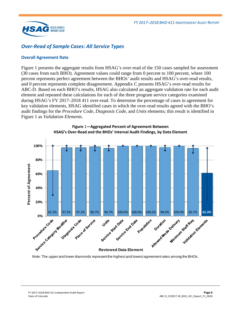

## <span id="page-7-0"></span>*Over-Read of Sample Cases: All Service Types*

#### **Overall Agreement Rate**

[Figure 1](#page-7-1) presents the aggregate results from HSAG's over-read of the 150 cases sampled for assessment (30 cases from each BHO). Agreement values could range from 0 percent to 100 percent, where 100 percent represents perfect agreement between the BHOs' audit results and HSAG's over-read results, and 0 percent represents complete disagreement. Appendix C presents HSAG's over-read results for ABC-D. Based on each BHO's results, HSAG also calculated an aggregate validation rate for each audit element and repeated these calculations for each of the three program service categories examined during HSAG's FY 2017–2018 411 over-read. To determine the percentage of cases in agreement for key validation elements, HSAG identified cases in which the over-read results agreed with the BHO's audit findings for the *Procedure Code*, *Diagnosis Code*, and *Units* elements; this result is identified in [Figure 1](#page-7-1) as *Validation Elements*.

<span id="page-7-1"></span>

**Figure** 1**—Aggregated Percent of Agreement Between HSAG's Over-Read and the BHOs' Internal Audit Findings, by Data Element**

Note: The upper and lower diamonds represent the highest and lowest agreement rates among the BHOs.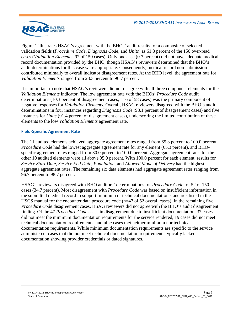

[Figure 1](#page-7-1) illustrates HSAG's agreement with the BHOs' audit results for a composite of selected validation fields (*Procedure Code*, *Diagnosis Code*, and *Units*) as 61.3 percent of the 150 over-read cases (*Validation Elements*, 92 of 150 cases). Only one case (0.7 percent) did not have adequate medical record documentation provided by the BHO, though HSAG's reviewers determined that the BHO's audit determinations for this case were appropriate. Consequently, medical record non-submission contributed minimally to overall indicator disagreement rates. At the BHO level, the agreement rate for *Validation Elements* ranged from 23.3 percent to 96.7 percent.

It is important to note that HSAG's reviewers did not disagree with all three component elements for the *Validation Elements* indicator. The low agreement rate with the BHOs' *Procedure Code* audit determinations (10.3 percent of disagreement cases, n=6 of 58 cases) was the primary component of negative responses for *Validation Elements*. Overall, HSAG reviewers disagreed with the BHO's audit determinations in four instances regarding *Diagnosis Code* (93.1 percent of disagreement cases) and five instances for *Units* (91.4 percent of disagreement cases), underscoring the limited contribution of these elements to the low *Validation Elements* agreement rate.

#### **Field-Specific Agreement Rate**

The 11 audited elements achieved aggregate agreement rates ranged from 65.3 percent to 100.0 percent. *Procedure Code* had the lowest aggregate agreement rate for any element (65.3 percent), and BHOspecific agreement rates ranged from 30.0 percent to 100.0 percent. Aggregate agreement rates for the other 10 audited elements were all above 95.0 percent. With 100.0 percent for each element, results for *Service Start Date*, *Service End Date*, *Population,* and *Allowed Mode of Delivery* had the highest aggregate agreement rates. The remaining six data elements had aggregate agreement rates ranging from 96.7 percent to 98.7 percent.

HSAG's reviewers disagreed with BHO auditors' determinations for *Procedure Code* for 52 of 150 cases (34.7 percent). Most disagreement with *Procedure Code* was based on insufficient information in the submitted medical record to support minimum or technical documentation standards listed in the USCS manual for the encounter data procedure code ( $n=47$  of 52 overall cases). In the remaining five *Procedure Code* disagreement cases, HSAG reviewers did not agree with the BHO's audit disagreement finding. Of the 47 *Procedure Code* cases in disagreement due to insufficient documentation, 37 cases did not meet the minimum documentation requirements for the service rendered, 19 cases did not meet technical documentation requirements, and nine cases met neither minimum nor technical documentation requirements. While minimum documentation requirements are specific to the service administered, cases that did not meet technical documentation requirements typically lacked documentation showing provider credentials or dated signatures.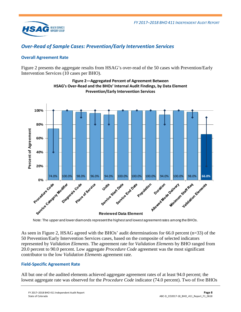

## <span id="page-9-0"></span>*Over-Read of Sample Cases: Prevention/Early Intervention Services*

## **Overall Agreement Rate**

<span id="page-9-1"></span>[Figure 2](#page-9-1) presents the aggregate results from HSAG's over-read of the 50 cases with Prevention/Early Intervention Services (10 cases per BHO).



**Figure 2—Aggregated Percent of Agreement Between HSAG's Over-Read and the BHOs' Internal Audit Findings, by Data Element Prevention/Early Intervention Services**

Note: The upper and lower diamonds represent the highest and lowest agreement rates among the BHOs.

As seen in [Figure 2,](#page-9-1) HSAG agreed with the BHOs' audit determinations for 66.0 percent (n=33) of the 50 Prevention/Early Intervention Services cases, based on the composite of selected indicators represented by *Validation Elements*. The agreement rate for *Validation Elements* by BHO ranged from 20.0 percent to 90.0 percent. Low aggregate *Procedure Code* agreement was the most significant contributor to the low *Validation Elements* agreement rate.

#### **Field-Specific Agreement Rate**

All but one of the audited elements achieved aggregate agreement rates of at least 94.0 percent; the lowest aggregate rate was observed for the *Procedure Code* indicator (74.0 percent). Two of five BHOs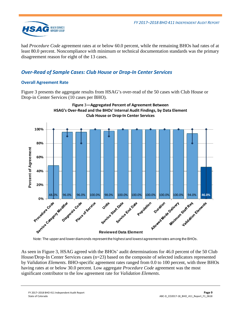

had *Procedure Code* agreement rates at or below 60.0 percent, while the remaining BHOs had rates of at least 80.0 percent. Noncompliance with minimum or technical documentation standards was the primary disagreement reason for eight of the 13 cases.

## <span id="page-10-0"></span>*Over-Read of Sample Cases: Club House or Drop-In Center Services*

## **Overall Agreement Rate**

[Figure 3](#page-10-1) presents the aggregate results from HSAG's over-read of the 50 cases with Club House or Drop-in Center Services (10 cases per BHO).

<span id="page-10-1"></span>

Note: The upper and lower diamonds represent the highest and lowest agreement rates among the BHOs.

As seen in [Figure 3,](#page-10-1) HSAG agreed with the BHOs' audit determinations for 46.0 percent of the 50 Club House/Drop-In Center Services cases (n=23) based on the composite of selected indicators represented by *Validation Elements*. BHO-specific agreement rates ranged from 0.0 to 100 percent, with three BHOs having rates at or below 30.0 percent. Low aggregate *Procedure Code* agreement was the most significant contributor to the low agreement rate for *Validation Elements*.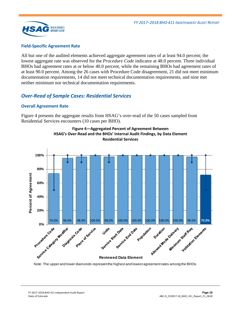

#### **Field-Specific Agreement Rate**

All but one of the audited elements achieved aggregate agreement rates of at least 94.0 percent; the lowest aggregate rate was observed for the *Procedure Code* indicator at 48.0 percent. Three individual BHOs had agreement rates at or below 40.0 percent, while the remaining BHOs had agreement rates of at least 90.0 percent. Among the 26 cases with Procedure Code disagreement, 21 did not meet minimum documentation requirements, 14 did not meet technical documentation requirements, and nine met neither minimum nor technical documentation requirements.

## <span id="page-11-0"></span>*Over-Read of Sample Cases: Residential Services*

#### **Overall Agreement Rate**

<span id="page-11-1"></span>[Figure 4](#page-11-1) presents the aggregate results from HSAG's over-read of the 50 cases sampled from Residential Services encounters (10 cases per BHO).





Note: The upper and lower diamonds represent the highest and lowest agreement rates among the BHOs.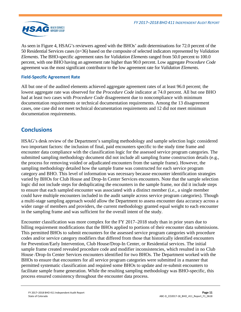

As seen in [Figure 4,](#page-11-1) HSAG's reviewers agreed with the BHOs' audit determinations for 72.0 percent of the 50 Residential Services cases (n=36) based on the composite of selected indicators represented by *Validation Elements*. The BHO-specific agreement rates for *Validation Elements* ranged from 50.0 percent to 100.0 percent, with one BHO having an agreement rate higher than 90.0 percent. Low aggregate *Procedure Code* agreement was the most significant contributor to the low agreement rate for *Validation Elements*.

## **Field-Specific Agreement Rate**

All but one of the audited elements achieved aggregate agreement rates of at least 96.0 percent; the lowest aggregate rate was observed for the *Procedure Code* indicator at 74.0 percent. All but one BHO had at least two cases with *Procedure Code* disagreement due to noncompliance with minimum documentation requirements or technical documentation requirements. Among the 13 disagreement cases, one case did not meet technical documentation requirements and 12 did not meet minimum documentation requirements.

## <span id="page-12-0"></span>**Conclusions**

HSAG's desk review of the Department's sampling methodology and sample selection logic considered two important factors: the inclusion of final, paid encounters specific to the study time frame and encounter data compliance with the classification logic for the assessed service program categories. The submitted sampling methodology document did not include all sampling frame construction details (e.g., the process for removing voided or adjudicated encounters from the sample frame). However, the sampling methodology detailed how the sample frame was constructed for each service program category and BHO. This level of information was necessary because encounter identification strategies varied by BHOs for Club House and Drop-In Center Services encounters. Note that the sample selection logic did not include steps for deduplicating the encounters in the sample frame, nor did it include steps to ensure that each sampled encounter was associated with a distinct member (i.e., a single member could have multiple encounters included in the audit sample across service program categories). Though a multi-stage sampling approach would allow the Department to assess encounter data accuracy across a wider range of members and providers, the current methodology granted equal weight to each encounter in the sampling frame and was sufficient for the overall intent of the study.

Encounter classification was more complex for the FY 2017–2018 study than in prior years due to billing requirement modifications that the BHOs applied to portions of their encounter data submissions. This permitted BHOs to submit encounters for the assessed service program categories with procedure codes and/or service category modifiers that differed from those that historically identified encounters for Prevention/Early Intervention, Club House/Drop-In Center, or Residential services. The initial sample frame created revealed procedure code and modifier inconsistencies, which resulted in no Club House /Drop-In Center Services encounters identified for two BHOs. The Department worked with the BHOs to ensure that encounters for all service program categories were submitted in a manner that permitted systematic classification and required some BHOs to update and re-submit encounters to facilitate sample frame generation. While the resulting sampling methodology was BHO-specific, this process ensured consistency throughout the encounter data process.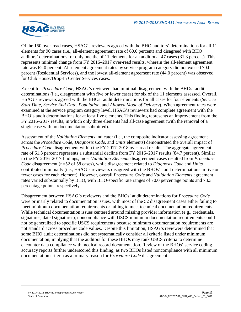

Of the 150 over-read cases, HSAG's reviewers agreed with the BHO auditors' determinations for all 11 elements for 90 cases (i.e., all-element agreement rate of 60.0 percent) and disagreed with BHO auditors' determinations for only one the of 11 elements for an additional 47 cases (31.3 percent). This represents minimal change from FY 2016–2017 over-read results, wherein the all-element agreement rate was 62.0 percent. All-element agreement rates by service program category did not exceed 70.0 percent (Residential Services), and the lowest all-element agreement rate (44.0 percent) was observed for Club House/Drop-In Center Services cases.

Except for *Procedure Code*, HSAG's reviewers had minimal disagreement with the BHOs' audit determinations (i.e., disagreement with five or fewer cases) for six of the 11 elements assessed. Overall, HSAG's reviewers agreed with the BHOs' audit determinations for all cases for four elements (*Service Start Date*, *Service End Date*, *Population*, and *Allowed Mode of Delivery*). When agreement rates were examined at the service program category level, HSAG's reviewers had complete agreement with the BHO's audit determinations for at least five elements. This finding represents an improvement from the FY 2016–2017 results, in which only three elements had all-case agreement (with the removal of a single case with no documentation submitted).

Assessment of the *Validation Elements* indicator (i.e., the composite indicator assessing agreement across the *Procedure Code*, *Diagnosis Code*, and *Units* elements) demonstrated the overall impact of *Procedure Code* disagreement within the FY 2017–2018 over-read results. The aggregate agreement rate of 61.3 percent represents a substantial decline from FY 2016–2017 results (84.7 percent). Similar to the FY 2016–2017 findings, most *Validation Elements* disagreement cases resulted from *Procedure Code* disagreement (n=52 of 58 cases), while disagreement related to *Diagnosis Code* and *Units* contributed minimally (i.e., HSAG's reviewers disagreed with the BHOs' audit determinations in five or fewer cases for each element). However, overall *Procedure Code* and *Validation Elements* agreement rates varied substantially by BHO, with BHO-specific rate ranges of 70.0 percentage points and 73.3 percentage points, respectively.

Disagreement between HSAG's reviewers and the BHOs' audit determinations for *Procedure Code* were primarily related to documentation issues, with most of the 52 disagreement cases either failing to meet minimum documentation requirements or failing to meet technical documentation requirements. While technical documentation issues centered around missing provider information (e.g., credentials, signatures, dated signatures), noncompliance with USCS minimum documentation requirements could not be generalized to specific USCS requirements because minimum documentation requirements are not standard across procedure code values. Despite this limitation, HSAG's reviewers determined that some BHO audit determinations did not systematically consider all criteria listed under minimum documentation, implying that the auditors for these BHOs may rank USCS criteria to determine encounter data compliance with medical record documentation. Review of the BHOs' service coding accuracy reports further underscored this finding, as two BHOs listed noncompliance with all minimum documentation criteria as a primary reason for *Procedure Code* disagreement.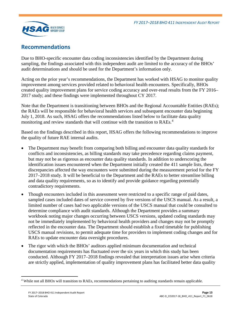

## <span id="page-14-0"></span>**Recommendations**

Due to BHO-specific encounter data coding inconsistencies identified by the Department during sampling, the findings associated with this independent audit are limited to the accuracy of the BHOs' audit determinations and should be used for the Department's information only.

Acting on the prior year's recommendations, the Department has worked with HSAG to monitor quality improvement among services provided related to behavioral health encounters. Specifically, BHOs created quality improvement plans for service coding accuracy and over-read results from the FY 2016– 2017 study; and these findings were implemented throughout CY 2017.

Note that the Department is transitioning between BHOs and the Regional Accountable Entities (RAEs); the RAEs will be responsible for behavioral health services and subsequent encounter data beginning July 1, 2018. As such, HSAG offers the recommendations listed below to facilitate data quality monitoring and review standards that will continue with the transition to RAEs.<sup>[4](#page-14-1)</sup>

Based on the findings described in this report, HSAG offers the following recommendations to improve the quality of future RAE internal audits.

- The Department may benefit from comparing both billing and encounter data quality standards for conflicts and inconsistencies, as billing standards may take precedence regarding claims payment, but may not be as rigorous as encounter data quality standards. In addition to underscoring the identification issues encountered when the Department initially created the 411 sample lists, these discrepancies affected the way encounters were submitted during the measurement period for the FY 2017–2018 study. It will be beneficial to the Department and the RAEs to better streamline billing and data quality requirements, so as to identify and provide guidance regarding potentially contradictory requirements.
- Though encounters included in this assessment were restricted to a specific range of paid dates, sampled cases included dates of service covered by five versions of the USCS manual. As a result, a limited number of cases had two applicable versions of the USCS manual that could be consulted to determine compliance with audit standards. Although the Department provides a summary workbook noting major changes occurring between USCS versions, updated coding standards may not be immediately implemented by behavioral health providers and changes may not be promptly reflected in the encounter data. The Department should establish a fixed timetable for publishing USCS manual revisions, to permit adequate time for providers to implement coding changes and for RAEs to update encounter data oversight procedures.
- The rigor with which the BHOs' auditors applied minimum documentation and technical documentation requirements has fluctuated over the six years in which this study has been conducted. Although FY 2017–2018 findings revealed that interpretation issues arise when criteria are strictly applied, implementation of quality improvement plans has facilitated better data quality

<span id="page-14-1"></span> <sup>4</sup> While not all BHOs will transition to RAEs, recommendations pertaining to auditing standards remain applicable.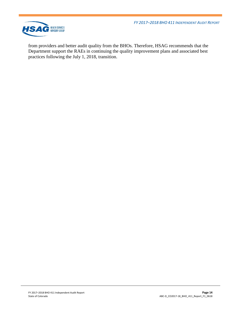*FY 2017–2018 BHO 411 INDEPENDENT AUDIT REPORT*



from providers and better audit quality from the BHOs. Therefore, HSAG recommends that the Department support the RAEs in continuing the quality improvement plans and associated best practices following the July 1, 2018, transition.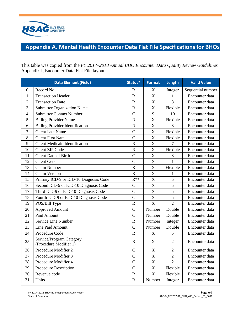

# <span id="page-16-0"></span>**Appendix A. Mental Health Encounter Data Flat File Specifications for BHOs**

This table was copied from the *FY 2017–2018 Annual BHO Encounter Data Quality Review Guidelines*  Appendix I, Encounter Data Flat File layout.

|                | <b>Data Element (Field)</b>                        | Status*               | <b>Format</b>             | Length         | <b>Valid Value</b> |
|----------------|----------------------------------------------------|-----------------------|---------------------------|----------------|--------------------|
| $\mathbf{0}$   | Record No                                          | R                     | $\boldsymbol{\mathrm{X}}$ | Integer        | Sequential number  |
| $\mathbf{1}$   | <b>Transaction Header</b>                          | $\mathbf R$           | $\overline{X}$            | $\mathbf{1}$   | Encounter data     |
| $\overline{2}$ | <b>Transaction Date</b>                            | $\overline{\text{R}}$ | $\boldsymbol{\mathrm{X}}$ | 8              | Encounter data     |
| 3              | <b>Submitter Organization Name</b>                 | $\mathbf R$           | X                         | Flexible       | Encounter data     |
| $\overline{4}$ | <b>Submitter Contact Number</b>                    | $\mathbf C$           | 9                         | 10             | Encounter data     |
| 5              | <b>Billing Provider Name</b>                       | $\mathbf R$           | $\boldsymbol{\mathrm{X}}$ | Flexible       | Encounter data     |
| 6              | <b>Billing Provider Identification</b>             | $\mathbf R$           | X                         | 8              | Encounter data     |
| $\overline{7}$ | <b>Client Last Name</b>                            | $\overline{C}$        | $\mathbf X$               | Flexible       | Encounter data     |
| 8              | <b>Client First Name</b>                           | $\overline{C}$        | $\boldsymbol{\mathrm{X}}$ | Flexible       | Encounter data     |
| 9              | <b>Client Medicaid Identification</b>              | $\overline{\text{R}}$ | X                         | 7              | Encounter data     |
| 10             | <b>Client ZIP Code</b>                             | $\mathbf R$           | $\overline{X}$            | Flexible       | Encounter data     |
| 11             | <b>Client Date of Birth</b>                        | $\overline{C}$        | X                         | 8              | Encounter data     |
| 12             | <b>Client Gender</b>                               | $\overline{C}$        | $\overline{X}$            | $\mathbf{1}$   | Encounter data     |
| 13             | Claim Number                                       | $\mathbf R$           | $\overline{X}$            | Flexible       | Encounter data     |
| 14             | <b>Claim Version</b>                               | $\mathbf R$           | X                         | 1              | Encounter data     |
| 15             | Primary ICD-9 or ICD-10 Diagnosis Code             | $R^{**}$              | $\mathbf X$               | 5              | Encounter data     |
| 16             | Second ICD-9 or ICD-10 Diagnosis Code              | $\mathcal{C}$         | $\overline{X}$            | 5              | Encounter data     |
| 17             | Third ICD-9 or ICD-10 Diagnosis Code               | $\overline{C}$        | $\mathbf X$               | 5              | Encounter data     |
| 18             | Fourth ICD-9 or ICD-10 Diagnosis Code              | $\overline{C}$        | $\mathbf X$               | 5              | Encounter data     |
| 19             | POS/Bill Type                                      | $\mathbf R$           | $\overline{X}$            | $\overline{2}$ | Encounter data     |
| 20             | <b>Approved Amount</b>                             | $\overline{C}$        | Number                    | Double         | Encounter data     |
| 21             | Paid Amount                                        | $\overline{C}$        | Number                    | Double         | Encounter data     |
| 22             | Service Line Number                                | $\mathbf R$           | Number                    | Integer        | Encounter data     |
| 23             | Line Paid Amount                                   | $\overline{C}$        | Number                    | Double         | Encounter data     |
| 24             | Procedure Code                                     | $\mathbf R$           | $\boldsymbol{\mathrm{X}}$ | 5              | Encounter data     |
| 25             | Service/Program Category<br>(Procedure Modifier 1) | $\mathbf R$           | X                         | $\overline{2}$ | Encounter data     |
| 26             | Procedure Modifier 2                               | $\mathcal{C}$         | $\mathbf X$               | $\overline{2}$ | Encounter data     |
| 27             | Procedure Modifier 3                               | $\overline{C}$        | $\overline{X}$            | $\overline{2}$ | Encounter data     |
| 28             | Procedure Modifier 4                               | $\mathcal{C}$         | $\mathbf X$               | $\overline{2}$ | Encounter data     |
| 29             | Procedure Description                              | $\overline{C}$        | $\mathbf X$               | Flexible       | Encounter data     |
| 30             | Revenue code                                       | $\mathbf R$           | X                         | Flexible       | Encounter data     |
| 31             | Units                                              | $\mathbf R$           | Number                    | Integer        | Encounter data     |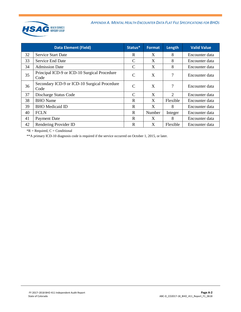

| <b>Data Element (Field)</b> |                                                      | Status*       | <b>Format</b> | Length                      | <b>Valid Value</b> |
|-----------------------------|------------------------------------------------------|---------------|---------------|-----------------------------|--------------------|
| 32                          | <b>Service Start Date</b>                            | R             | X             | 8                           | Encounter data     |
| 33                          | Service End Date                                     | C             | X             | 8                           | Encounter data     |
| 34                          | <b>Admission Date</b>                                | C             | X             | 8                           | Encounter data     |
| 35                          | Principal ICD-9 or ICD-10 Surgical Procedure<br>Code | $\mathcal{C}$ | X             | 7                           | Encounter data     |
| 36                          | Secondary ICD-9 or ICD-10 Surgical Procedure<br>Code | $\mathcal{C}$ | X             | 7                           | Encounter data     |
| 37                          | Discharge Status Code                                | $\mathcal{C}$ | X             | $\mathcal{D}_{\mathcal{L}}$ | Encounter data     |
| 38                          | <b>BHO</b> Name                                      | $\mathbf R$   | X             | Flexible                    | Encounter data     |
| 39                          | <b>BHO</b> Medicaid ID                               | $\mathbf R$   | X             | 8                           | Encounter data     |
| 40                          | <b>FCLN</b>                                          | $\mathbf R$   | Number        | Integer                     | Encounter data     |
| 41                          | <b>Payment Date</b>                                  | R             | X             | 8                           | Encounter data     |
| 42                          | Rendering Provider ID                                | R             | X             | Flexible                    | Encounter data     |

 $*R$  = Required,  $C$  = Conditional

\*\*A primary ICD-10 diagnosis code is required if the service occurred on October 1, 2015, or later.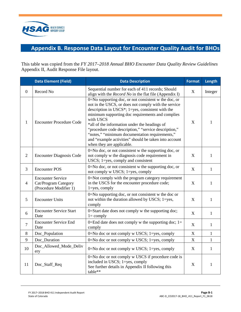

# <span id="page-18-0"></span>**Appendix B. Response Data Layout for Encounter Quality Audit for BHOs**

This table was copied from the *FY 2017–2018 Annual BHO Encounter Data Quality Review Guidelines*  Appendix II, Audit Response File layout.

|                  | <b>Data Element (Field)</b>                                                | <b>Data Description</b>                                                                                                                                                                                                                                                                                                                                                                                                                                                                         | <b>Format</b> | Length       |
|------------------|----------------------------------------------------------------------------|-------------------------------------------------------------------------------------------------------------------------------------------------------------------------------------------------------------------------------------------------------------------------------------------------------------------------------------------------------------------------------------------------------------------------------------------------------------------------------------------------|---------------|--------------|
| $\boldsymbol{0}$ | Record No                                                                  | Sequential number for each of 411 records; Should<br>align with the Record No in the flat file (Appendix I)                                                                                                                                                                                                                                                                                                                                                                                     | X             | Integer      |
| $\mathbf{1}$     | <b>Encounter Procedure Code</b>                                            | 0=No supporting doc, or not consistent w the doc, or<br>not in the USCS, or does not comply with the service<br>description in USCS <sup>*</sup> ; 1=yes, consistent with the<br>minimum supporting doc requirements and complies<br>with USCS<br>*all of the information under the headings of<br>"procedure code description," "service description,"<br>"notes," "minimum documentation requirements,"<br>and "example activities" should be taken into account<br>when they are applicable. |               | 1            |
| $\overline{2}$   | <b>Encounter Diagnosis Code</b>                                            | 0=No doc, or not consistent w the supporting doc, or<br>not comply w the diagnosis code requirement in<br>USCS; 1=yes, comply and consistent                                                                                                                                                                                                                                                                                                                                                    |               | $\mathbf{1}$ |
| 3                | <b>Encounter POS</b>                                                       | 0=No doc, or not consistent w the supporting doc, or<br>not comply w USCS; 1=yes, comply                                                                                                                                                                                                                                                                                                                                                                                                        | X             | $\mathbf{1}$ |
| $\overline{4}$   | <b>Encounter Service</b><br>Cat/Program Category<br>(Procedure Modifier 1) | 0=Not comply with the program category requirement<br>in the USCS for the encounter procedure code;<br>$1 = yes$ , comply                                                                                                                                                                                                                                                                                                                                                                       | X             | $\mathbf{1}$ |
| 5                | <b>Encounter Units</b>                                                     | 0=No supporting doc, or not consistent w the doc or<br>not within the duration allowed by USCS; 1=yes,<br>comply                                                                                                                                                                                                                                                                                                                                                                                | X             | $\mathbf{1}$ |
| 6                | <b>Encounter Service Start</b><br>Date                                     | 0=Start date does not comply w the supporting doc;<br>$1 = \text{comply}$                                                                                                                                                                                                                                                                                                                                                                                                                       | X             | $\mathbf{1}$ |
| $\overline{7}$   | <b>Encounter Service End</b><br>Date                                       | 0=End date does not comply w the supporting doc; $1=$<br>comply                                                                                                                                                                                                                                                                                                                                                                                                                                 | X             | $\mathbf{1}$ |
| 8                | Doc_Population                                                             | 0=No doc or not comply w USCS; 1=yes, comply                                                                                                                                                                                                                                                                                                                                                                                                                                                    | X             | $\mathbf{1}$ |
| 9                | Doc_Duration                                                               | $0 = No$ doc or not comply w USCS; 1=yes, comply                                                                                                                                                                                                                                                                                                                                                                                                                                                | X             | $\mathbf{1}$ |
| 10               | Doc_Allowed_Mode_Deliv<br>ery                                              | 0=No doc or not comply w USCS; 1=yes, comply                                                                                                                                                                                                                                                                                                                                                                                                                                                    | X             | $\mathbf{1}$ |
| 11               | Doc_Staff_Req                                                              | 0=No doc or not comply w USCS if procedure code is<br>included in USCS; 1=yes, comply<br>See further details in Appendix II following this<br>table**                                                                                                                                                                                                                                                                                                                                           | $\mathbf X$   | $\mathbf{1}$ |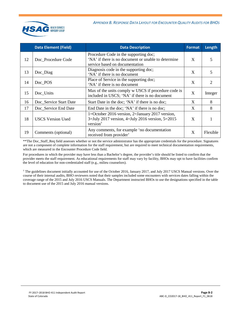

|    | <b>Data Element (Field)</b> | <b>Data Description</b>                                                                                                         | <b>Format</b> | Length   |
|----|-----------------------------|---------------------------------------------------------------------------------------------------------------------------------|---------------|----------|
| 12 | Doc Procedure Code          | Procedure Code in the supporting doc;<br>'NA' if there is no document or unable to determine<br>service based on documentation  | X             | 5        |
| 13 | Doc_Diag                    | Diagnosis code in the supporting doc;<br>'NA' if there is no document                                                           | X             | 5        |
| 14 | Doc_POS                     | Place of Service in the supporting doc;<br>'NA' if there is no document                                                         | X             | 2        |
| 15 | Doc_Units                   | Max of the units comply w USCS if procedure code is<br>included in USCS; 'NA' if there is no document                           | X             | Integer  |
| 16 | Doc_Service Start Date      | Start Date in the doc; 'NA' if there is no doc;                                                                                 | X             | 8        |
| 17 | Doc_Service End Date        | End Date in the doc; 'NA' if there is no doc;                                                                                   | X             | 8        |
| 18 | <b>USCS Version Used</b>    | 1=October 2016 version, 2=January 2017 version,<br>$3 =$ July 2017 version, 4=July 2016 version, 5=2015<br>version <sup>†</sup> | X             |          |
| 19 | Comments (optional)         | Any comments, for example 'no documentation<br>received from provider'                                                          | X             | Flexible |

\*\*The Doc\_Staff\_Req field assesses whether or not the service administrator has the appropriate credentials for the procedure. Signatures are not a component of complete information for the staff requirement, but are required to meet technical documentation requirements, which are measured in the Encounter Procedure Code field.

For procedures in which the provider may have less than a Bachelor's degree, the provider's title should be listed to confirm that the provider meets the staff requirement. As educational requirements for staff may vary by facility, BHOs may opt to have facilities confirm the level of education for non-credentialed staff (e.g., milieu counselors).

† The guidelines document initially accounted for use of the October 2016, January 2017, and July 2017 USCS Manual versions. Over the course of their internal audits, BHO reviewers noted that their samples included some encounters with services dates falling within the coverage range of the 2015 and July 2016 USCS Manuals. The Department instructed BHOs to use the designations specified in the table to document use of the 2015 and July 2016 manual versions.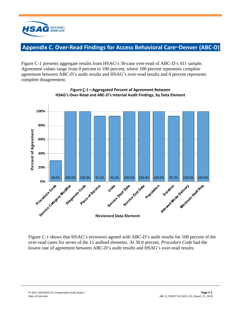

## <span id="page-20-0"></span>**Appendix C. Over-Read Findings for Access Behavioral Care**—**Denver (ABC-D)**

Figure C-1 presents aggregate results from HSAG's 30-case over-read of ABC-D's 411 sample. Agreement values range from 0 percent to 100 percent, where 100 percent represents complete agreement between ABC-D's audit results and HSAG's over-read results and 0 percent represents complete disagreement.



**Figure C-1—Aggregated Percent of Agreement Between HSAG's Over-Read and ABC-D's Internal Audit Findings, by Data Element**

Figure C-1 shows that HSAG's reviewers agreed with ABC-D's audit results for 100 percent of the over-read cases for seven of the 11 audited elements. At 30.0 percent, *Procedure Code* had the lowest rate of agreement between ABC-D's audit results and HSAG's over-read results.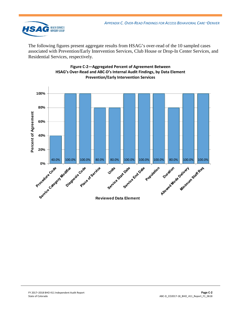

The following figures present aggregate results from HSAG's over-read of the 10 sampled cases associated with Prevention/Early Intervention Services, Club House or Drop-In Center Services, and Residential Services, respectively.



#### **Figure C-2—Aggregated Percent of Agreement Between HSAG's Over-Read and ABC-D's Internal Audit Findings, by Data Element Prevention/Early Intervention Services**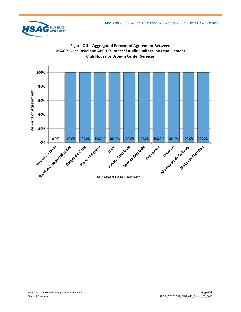